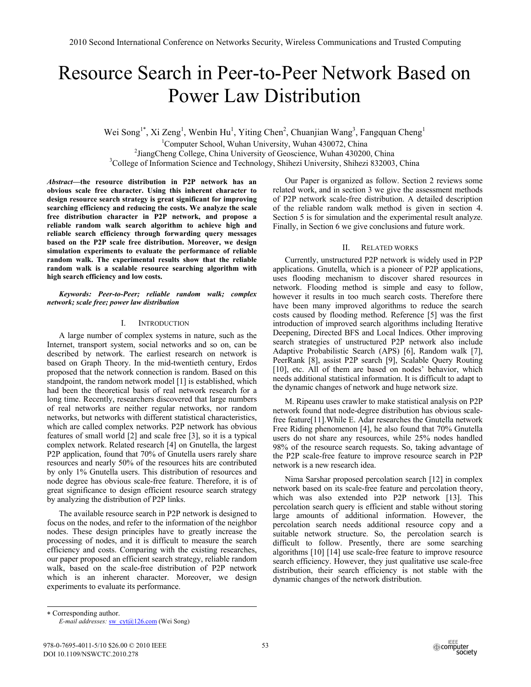# Resource Search in Peer-to-Peer Network Based on Power Law Distribution

Wei Song<sup>1\*</sup>, Xi Zeng<sup>1</sup>, Wenbin Hu<sup>1</sup>, Yiting Chen<sup>2</sup>, Chuanjian Wang<sup>3</sup>, Fangquan Cheng<sup>1</sup>

<sup>1</sup>Computer School, Wuhan University, Wuhan 430072, China<br><sup>2</sup>LiangChang Callage, China University of Geographical Wuhan 420200  $<sup>2</sup>$ JiangCheng College, China University of Geoscience, Wuhan 430200, China</sup> <sup>3</sup>College of Information Science and Technology, Shihezi University, Shihezi 832003, China

*Abstract***—the resource distribution in P2P network has an obvious scale free character. Using this inherent character to design resource search strategy is great significant for improving searching efficiency and reducing the costs. We analyze the scale free distribution character in P2P network, and propose a reliable random walk search algorithm to achieve high and reliable search efficiency through forwarding query messages based on the P2P scale free distribution. Moreover, we design simulation experiments to evaluate the performance of reliable random walk. The experimental results show that the reliable random walk is a scalable resource searching algorithm with high search efficiency and low costs.** 

*Keywords: Peer-to-Peer; reliable random walk; complex network; scale free; power law distribution* 

## I. INTRODUCTION

A large number of complex systems in nature, such as the Internet, transport system, social networks and so on, can be described by network. The earliest research on network is based on Graph Theory. In the mid-twentieth century, Erdos proposed that the network connection is random. Based on this standpoint, the random network model [1] is established, which had been the theoretical basis of real network research for a long time. Recently, researchers discovered that large numbers of real networks are neither regular networks, nor random networks, but networks with different statistical characteristics, which are called complex networks. P2P network has obvious features of small world [2] and scale free [3], so it is a typical complex network. Related research [4] on Gnutella, the largest P2P application, found that 70% of Gnutella users rarely share resources and nearly 50% of the resources hits are contributed by only 1% Gnutella users. This distribution of resources and node degree has obvious scale-free feature. Therefore, it is of great significance to design efficient resource search strategy by analyzing the distribution of P2P links.

The available resource search in P2P network is designed to focus on the nodes, and refer to the information of the neighbor nodes. These design principles have to greatly increase the processing of nodes, and it is difficult to measure the search efficiency and costs. Comparing with the existing researches, our paper proposed an efficient search strategy, reliable random walk, based on the scale-free distribution of P2P network which is an inherent character. Moreover, we design experiments to evaluate its performance.

Our Paper is organized as follow. Section 2 reviews some related work, and in section 3 we give the assessment methods of P2P network scale-free distribution. A detailed description of the reliable random walk method is given in section 4. Section 5 is for simulation and the experimental result analyze. Finally, in Section 6 we give conclusions and future work.

# II. RELATED WORKS

Currently, unstructured P2P network is widely used in P2P applications. Gnutella, which is a pioneer of P2P applications, uses flooding mechanism to discover shared resources in network. Flooding method is simple and easy to follow, however it results in too much search costs. Therefore there have been many improved algorithms to reduce the search costs caused by flooding method. Reference [5] was the first introduction of improved search algorithms including Iterative Deepening, Directed BFS and Local Indices. Other improving search strategies of unstructured P2P network also include Adaptive Probabilistic Search (APS) [6], Random walk [7], PeerRank [8], assist P2P search [9], Scalable Query Routing [10], etc. All of them are based on nodes' behavior, which needs additional statistical information. It is difficult to adapt to the dynamic changes of network and huge network size.

M. Ripeanu uses crawler to make statistical analysis on P2P network found that node-degree distribution has obvious scalefree feature[11].While E. Adar researches the Gnutella network Free Riding phenomenon [4], he also found that 70% Gnutella users do not share any resources, while 25% nodes handled 98% of the resource search requests. So, taking advantage of the P2P scale-free feature to improve resource search in P2P network is a new research idea.

Nima Sarshar proposed percolation search [12] in complex network based on its scale-free feature and percolation theory, which was also extended into P2P network [13]. This percolation search query is efficient and stable without storing large amounts of additional information. However, the percolation search needs additional resource copy and a suitable network structure. So, the percolation search is difficult to follow. Presently, there are some searching algorithms [10] [14] use scale-free feature to improve resource search efficiency. However, they just qualitative use scale-free distribution, their search efficiency is not stable with the dynamic changes of the network distribution.

 Corresponding author. *E-mail addresses:* sw\_cyt@126.com (Wei Song)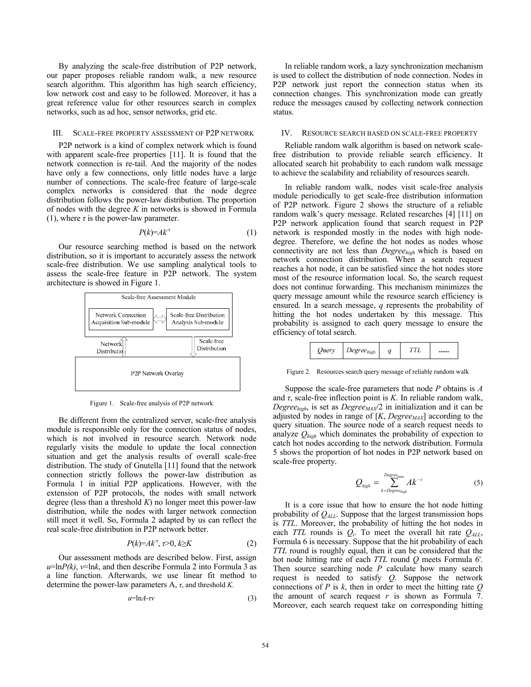By analyzing the scale-free distribution of P2P network, our paper proposes reliable random walk, a new resource search algorithm. This algorithm has high search efficiency, low network cost and easy to be followed. Moreover, it has a great reference value for other resources search in complex networks, such as ad hoc, sensor networks, grid etc.

## III. SCALE-FREE PROPERTY ASSESSMENT OF P2P NETWORK

P2P network is a kind of complex network which is found with apparent scale-free properties [11]. It is found that the network connection is re-tail. And the majority of the nodes have only a few connections, only little nodes have a large number of connections. The scale-free feature of large-scale complex networks is considered that the node degree distribution follows the power-law distribution. The proportion of nodes with the degree *K* in networks is showed in Formula (1), where  $\tau$  is the power-law parameter.

$$
P(k)=Ak^{-\tau}
$$
 (1)

Our resource searching method is based on the network distribution, so it is important to accurately assess the network scale-free distribution. We use sampling analytical tools to assess the scale-free feature in P2P network. The system architecture is showed in Figure 1.



Figure 1. Scale-free analysis of P2P network

Be different from the centralized server, scale-free analysis module is responsible only for the connection status of nodes, which is not involved in resource search. Network node regularly visits the module to update the local connection situation and get the analysis results of overall scale-free distribution. The study of Gnutella [11] found that the network connection strictly follows the power-law distribution as Formula 1 in initial P2P applications. However, with the extension of P2P protocols, the nodes with small network degree (less than a threshold  $K$ ) no longer meet this power-law distribution, while the nodes with larger network connection still meet it well. So, Formula 2 adapted by us can reflect the real scale-free distribution in P2P network better.

$$
P(k)=Ak^{\tau},\tau>0,k\geq K\tag{2}
$$

Our assessment methods are described below. First, assign  $u=\ln P(k)$ ,  $v=\ln k$ , and then describe Formula 2 into Formula 3 as a line function. Afterwards, we use linear fit method to determine the power-law parameters  $A$ ,  $\tau$ , and threshold *K*.

$$
u = \ln A - \tau v \tag{3}
$$

In reliable random work, a lazy synchronization mechanism is used to collect the distribution of node connection. Nodes in P2P network just report the connection status when its connection changes. This synchronization mode can greatly reduce the messages caused by collecting network connection status.

## IV. RESOURCE SEARCH BASED ON SCALE-FREE PROPERTY

Reliable random walk algorithm is based on network scalefree distribution to provide reliable search efficiency. It allocated search hit probability to each random walk message to achieve the scalability and reliability of resources search.

In reliable random walk, nodes visit scale-free analysis module periodically to get scale-free distribution information of P2P network. Figure 2 shows the structure of a reliable random walk's query message. Related researches [4] [11] on P2P network application found that search request in P2P network is responded mostly in the nodes with high nodedegree. Therefore, we define the hot nodes as nodes whose connectivity are not less than *Degreehigh* which is based on network connection distribution. When a search request reaches a hot node, it can be satisfied since the hot nodes store most of the resource information local. So, the search request does not continue forwarding. This mechanism minimizes the query message amount while the resource search efficiency is ensured. In a search message, *q* represents the probability of hitting the hot nodes undertaken by this message. This probability is assigned to each query message to ensure the efficiency of total search.



Figure 2. Resources search query message of reliable random walk

Suppose the scale-free parameters that node *P* obtains is *A* and  $\tau$ , scale-free inflection point is *K*. In reliable random walk, *Degree<sub>high</sub>*, is set as *Degree<sub>MAX</sub>*/2 in initialization and it can be adjusted by nodes in range of  $[K, Degree_{MAX}]$  according to the query situation. The source node of a search request needs to analyze *Qhigh* which dominates the probability of expection to catch hot nodes according to the network distribution. Formula 5 shows the proportion of hot nodes in P2P network based on scale-free property.

$$
Q_{high} = \sum_{k=Degree_{high}}^{Degree_{high}} Ak^{-\tau}
$$
 (5)

It is a core issue that how to ensure the hot node hitting probability of *QALL*. Suppose that the largest transmission hops is *TTL*. Moreover, the probability of hitting the hot nodes in each *TTL* rounds is  $Q_i$ . To meet the overall hit rate  $Q_{ALL}$ , Formula 6 is necessary. Suppose that the hit probability of each *TTL* round is roughly equal, then it can be considered that the hot node hitting rate of each *TTL* round *Q* meets Formula 6'. Then source searching node *P* calculate how many search request is needed to satisfy *Q*. Suppose the network connections of *P* is *k*, then in order to meet the hitting rate *Q* the amount of search request  $r$  is shown as Formula 7. Moreover, each search request take on corresponding hitting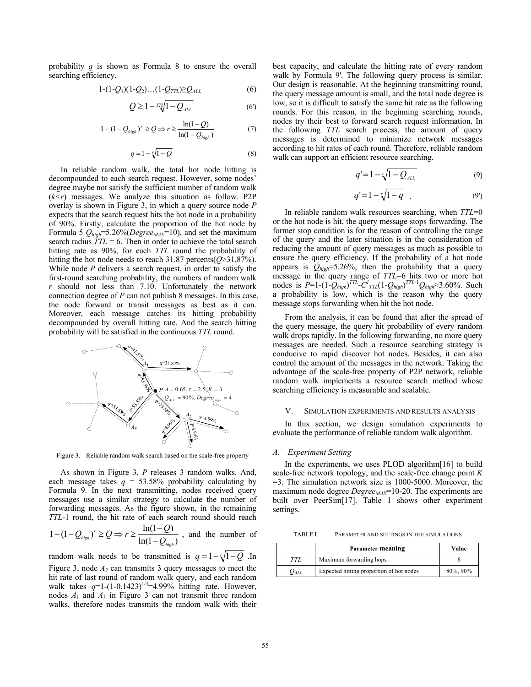probability *q* is shown as Formula 8 to ensure the overall searching efficiency.

$$
1-(1-Q_1)(1-Q_2)...(1-Q_{TTL})\geq Q_{ALL} \tag{6}
$$

$$
Q \ge 1 - \frac{1}{2} \sqrt{1 - Q_{ALL}} \tag{6'}
$$

$$
1 - (1 - Q_{high})^r \ge Q \Rightarrow r \ge \frac{\ln(1 - Q)}{\ln(1 - Q_{high})}
$$
 (7)

$$
q = 1 - \sqrt[r]{1 - Q} \tag{8}
$$

In reliable random walk, the total hot node hitting is decompounded to each search request. However, some nodes' degree maybe not satisfy the sufficient number of random walk  $(k < r)$  messages. We analyze this situation as follow. P2P overlay is shown in Figure 3, in which a query source node *P* expects that the search request hits the hot node in a probability of 90%. Firstly, calculate the proportion of the hot node by Formula 5  $Q_{high}$ =5.26%(*Degree<sub>MAX</sub>*=10), and set the maximum search radius  $\overline{TTL} = 6$ . Then in order to achieve the total search hitting rate as 90%, for each *TTL* round the probability of hitting the hot node needs to reach 31.87 percents(*Q*>31.87%). While node *P* delivers a search request, in order to satisfy the first-round searching probability, the numbers of random walk *r* should not less than 7.10. Unfortunately the network connection degree of *P* can not publish 8 messages. In this case, the node forward or transit messages as best as it can. Moreover, each message catches its hitting probability decompounded by overall hitting rate. And the search hitting probability will be satisfied in the continuous *TTL* round.



Figure 3. Reliable random walk search based on the scale-free property

As shown in Figure 3, *P* releases 3 random walks. And, each message takes  $q = 53.58\%$  probability calculating by Formula 9. In the next transmitting, nodes received query messages use a similar strategy to calculate the number of forwarding messages. As the figure shown, in the remaining *TTL*-1 round, the hit rate of each search round should reach

$$
1 - (1 - Q_{high})^r \ge Q \Rightarrow r \ge \frac{\ln(1 - Q)}{\ln(1 - Q_{high})}
$$
, and the number of

random walk needs to be transmitted is  $q = 1 - \sqrt{1 - Q}$ . In Figure 3, node *A2* can transmits 3 query messages to meet the hit rate of last round of random walk query, and each random walk takes  $q=1-(1-0.1423)^{1/3}=4.99\%$  hitting rate. However, nodes  $A_1$  and  $A_3$  in Figure 3 can not transmit three random walks, therefore nodes transmits the random walk with their best capacity, and calculate the hitting rate of every random walk by Formula 9'. The following query process is similar. Our design is reasonable. At the beginning transmitting round, the query message amount is small, and the total node degree is low, so it is difficult to satisfy the same hit rate as the following rounds. For this reason, in the beginning searching rounds, nodes try their best to forward search request information. In the following *TTL* search process, the amount of query messages is determined to minimize network messages according to hit rates of each round. Therefore, reliable random walk can support an efficient resource searching.

$$
q'=1-\sqrt{1-Q_{ALL}}\tag{9}
$$

$$
q'=1-\sqrt{1-q}
$$
 (9')

In reliable random walk resources searching, when *TTL*=0 or the hot node is hit, the query message stops forwarding. The former stop condition is for the reason of controlling the range of the query and the later situation is in the consideration of reducing the amount of query messages as much as possible to ensure the query efficiency. If the probability of a hot node appears is  $Q_{high} = 5.26\%$ , then the probability that a query message in the query range of *TTL*=6 hits two or more hot nodes is  $P=1-(1-Q_{high})^{TTL}$ - $C^1_{TTL}(1-Q_{high})^{TTL-1}Q_{high} \approx 3.60\%$ . Such a probability is low, which is the reason why the query message stops forwarding when hit the hot node.

From the analysis, it can be found that after the spread of the query message, the query hit probability of every random walk drops rapidly. In the following forwarding, no more query messages are needed. Such a resource searching strategy is conducive to rapid discover hot nodes. Besides, it can also control the amount of the messages in the network. Taking the advantage of the scale-free property of P2P network, reliable random walk implements a resource search method whose searching efficiency is measurable and scalable.

## V. SIMULATION EXPERIMENTS AND RESULTS ANALYSIS

In this section, we design simulation experiments to evaluate the performance of reliable random walk algorithm.

#### *A. Experiment Setting*

In the experiments, we uses PLOD algorithm[16] to build scale-free network topology, and the scale-free change point *K* =3. The simulation network size is 1000-5000. Moreover, the maximum node degree *Degree<sub>MAX</sub>*=10-20. The experiments are built over PeerSim[17]. Table 1 shows other experiment settings.

TABLE I. PARAMETER AND SETTINGS IN THE SIMULATIONS

|           | Parameter meaning                        | Value    |
|-----------|------------------------------------------|----------|
| TTI.      | Maximum forwarding hops                  |          |
| $O_{ALL}$ | Expected hitting proportion of hot nodes | 80%, 90% |